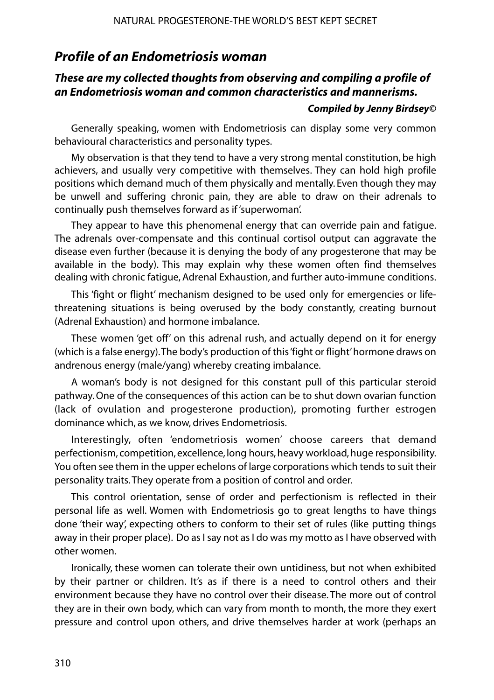## *Profile of an Endometriosis woman*

#### *These are my collected thoughts from observing and compiling a profile of an Endometriosis woman and common characteristics and mannerisms.*

#### *Compiled by Jenny Birdsey©*

Generally speaking, women with Endometriosis can display some very common behavioural characteristics and personality types.

My observation is that they tend to have a very strong mental constitution, be high achievers, and usually very competitive with themselves. They can hold high profile positions which demand much of them physically and mentally. Even though they may be unwell and suffering chronic pain, they are able to draw on their adrenals to continually push themselves forward as if 'superwoman'.

They appear to have this phenomenal energy that can override pain and fatigue. The adrenals over-compensate and this continual cortisol output can aggravate the disease even further (because it is denying the body of any progesterone that may be available in the body). This may explain why these women often find themselves dealing with chronic fatigue, Adrenal Exhaustion, and further auto-immune conditions.

This 'fight or flight' mechanism designed to be used only for emergencies or lifethreatening situations is being overused by the body constantly, creating burnout (Adrenal Exhaustion) and hormone imbalance.

These women 'get off' on this adrenal rush, and actually depend on it for energy (which is a false energy). The body's production of this 'fight or flight' hormone draws on andrenous energy (male/yang) whereby creating imbalance.

A woman's body is not designed for this constant pull of this particular steroid pathway. One of the consequences of this action can be to shut down ovarian function (lack of ovulation and progesterone production), promoting further estrogen dominance which, as we know, drives Endometriosis.

Interestingly, often 'endometriosis women' choose careers that demand perfectionism, competition, excellence, long hours, heavy workload, huge responsibility. You often see them in the upper echelons of large corporations which tends to suit their personality traits. They operate from a position of control and order.

This control orientation, sense of order and perfectionism is reflected in their personal life as well. Women with Endometriosis go to great lengths to have things done 'their way', expecting others to conform to their set of rules (like putting things away in their proper place). Do as I say not as I do was my motto as I have observed with other women.

Ironically, these women can tolerate their own untidiness, but not when exhibited by their partner or children. It's as if there is a need to control others and their environment because they have no control over their disease. The more out of control they are in their own body, which can vary from month to month, the more they exert pressure and control upon others, and drive themselves harder at work (perhaps an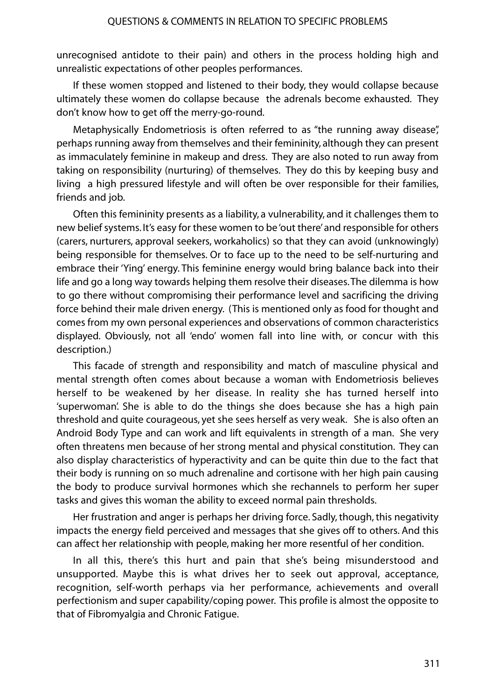unrecognised antidote to their pain) and others in the process holding high and unrealistic expectations of other peoples performances.

If these women stopped and listened to their body, they would collapse because ultimately these women do collapse because the adrenals become exhausted. They don't know how to get off the merry-go-round.

Metaphysically Endometriosis is often referred to as "the running away disease", perhaps running away from themselves and their femininity, although they can present as immaculately feminine in makeup and dress. They are also noted to run away from taking on responsibility (nurturing) of themselves. They do this by keeping busy and living a high pressured lifestyle and will often be over responsible for their families, friends and job.

Often this femininity presents as a liability, a vulnerability, and it challenges them to new belief systems. It's easy for these women to be 'out there' and responsible for others (carers, nurturers, approval seekers, workaholics) so that they can avoid (unknowingly) being responsible for themselves. Or to face up to the need to be self-nurturing and embrace their 'Ying' energy. This feminine energy would bring balance back into their life and go a long way towards helping them resolve their diseases.The dilemma is how to go there without compromising their performance level and sacrificing the driving force behind their male driven energy. (This is mentioned only as food for thought and comes from my own personal experiences and observations of common characteristics displayed. Obviously, not all 'endo' women fall into line with, or concur with this description.)

This facade of strength and responsibility and match of masculine physical and mental strength often comes about because a woman with Endometriosis believes herself to be weakened by her disease. In reality she has turned herself into 'superwoman'. She is able to do the things she does because she has a high pain threshold and quite courageous, yet she sees herself as very weak. She is also often an Android Body Type and can work and lift equivalents in strength of a man. She very often threatens men because of her strong mental and physical constitution. They can also display characteristics of hyperactivity and can be quite thin due to the fact that their body is running on so much adrenaline and cortisone with her high pain causing the body to produce survival hormones which she rechannels to perform her super tasks and gives this woman the ability to exceed normal pain thresholds.

Her frustration and anger is perhaps her driving force. Sadly, though, this negativity impacts the energy field perceived and messages that she gives off to others. And this can affect her relationship with people, making her more resentful of her condition.

In all this, there's this hurt and pain that she's being misunderstood and unsupported. Maybe this is what drives her to seek out approval, acceptance, recognition, self-worth perhaps via her performance, achievements and overall perfectionism and super capability/coping power. This profile is almost the opposite to that of Fibromyalgia and Chronic Fatigue.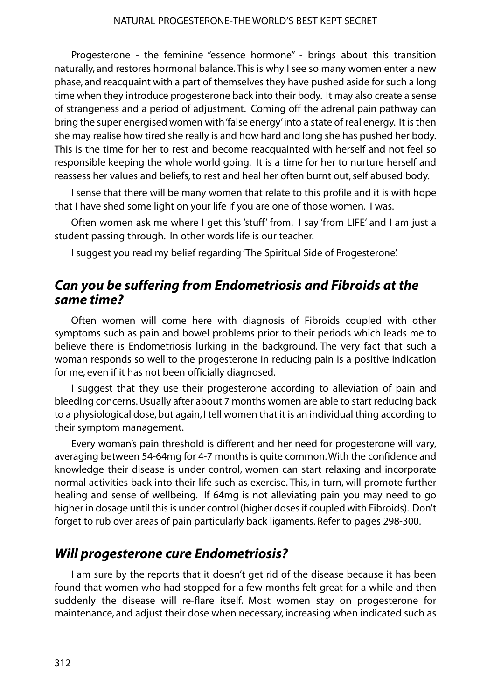Progesterone - the feminine "essence hormone" - brings about this transition naturally, and restores hormonal balance. This is why I see so many women enter a new phase, and reacquaint with a part of themselves they have pushed aside for such a long time when they introduce progesterone back into their body. It may also create a sense of strangeness and a period of adjustment. Coming off the adrenal pain pathway can bring the super energised women with 'false energy'into a state of real energy. It is then she may realise how tired she really is and how hard and long she has pushed her body. This is the time for her to rest and become reacquainted with herself and not feel so responsible keeping the whole world going. It is a time for her to nurture herself and reassess her values and beliefs, to rest and heal her often burnt out, self abused body.

I sense that there will be many women that relate to this profile and it is with hope that I have shed some light on your life if you are one of those women. I was.

Often women ask me where I get this 'stuff' from. I say 'from LIFE' and I am just a student passing through. In other words life is our teacher.

I suggest you read my belief regarding 'The Spiritual Side of Progesterone'.

## *Can you be suffering from Endometriosis and Fibroids at the same time?*

Often women will come here with diagnosis of Fibroids coupled with other symptoms such as pain and bowel problems prior to their periods which leads me to believe there is Endometriosis lurking in the background. The very fact that such a woman responds so well to the progesterone in reducing pain is a positive indication for me, even if it has not been officially diagnosed.

I suggest that they use their progesterone according to alleviation of pain and bleeding concerns. Usually after about 7 months women are able to start reducing back to a physiological dose, but again, I tell women that it is an individual thing according to their symptom management.

Every woman's pain threshold is different and her need for progesterone will vary, averaging between 54-64mg for 4-7 months is quite common.With the confidence and knowledge their disease is under control, women can start relaxing and incorporate normal activities back into their life such as exercise. This, in turn, will promote further healing and sense of wellbeing. If 64mg is not alleviating pain you may need to go higher in dosage until this is under control (higher doses if coupled with Fibroids). Don't forget to rub over areas of pain particularly back ligaments. Refer to pages 298-300.

# *Will progesterone cure Endometriosis?*

I am sure by the reports that it doesn't get rid of the disease because it has been found that women who had stopped for a few months felt great for a while and then suddenly the disease will re-flare itself. Most women stay on progesterone for maintenance, and adjust their dose when necessary, increasing when indicated such as